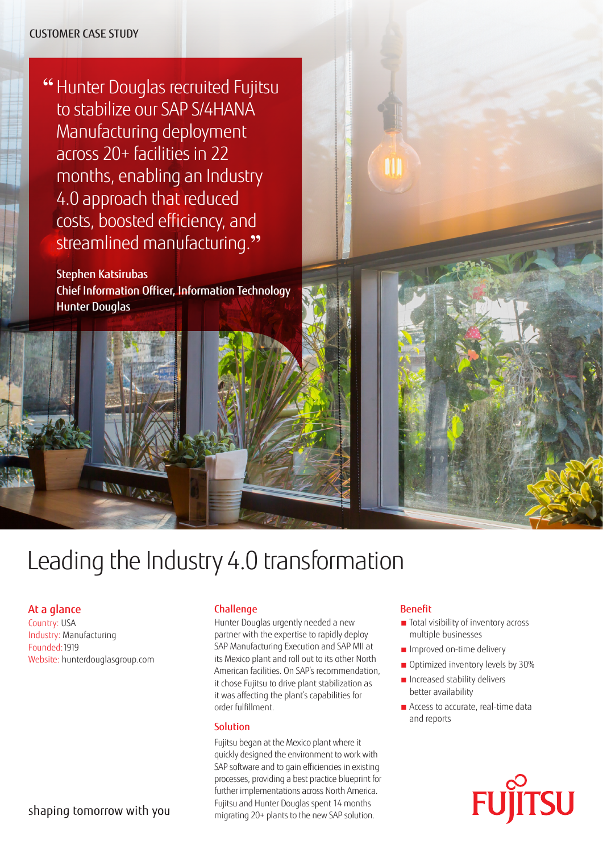## CUSTOMER CASE STUDY

**"** Hunter Douglas recruited Fujitsu to stabilize our SAP S/4HANA Manufacturing deployment across 20+ facilities in 22 months, enabling an Industry 4.0 approach that reduced costs, boosted efficiency, and streamlined manufacturing.**"**

Stephen Katsirubas Chief Information Officer, Information Technology Hunter Douglas

# Leading the Industry 4.0 transformation

## At a glance

Country: USA Industry: Manufacturing Founded:1919 Website: [hunterdouglasgroup.com](https://www.hunterdouglasgroup.com/)

 $\sqrt{N}$ 

# shaping tomorrow with you

#### Challenge

Hunter Douglas urgently needed a new partner with the expertise to rapidly deploy SAP Manufacturing Execution and SAP MII at its Mexico plant and roll out to its other North American facilities. On SAP's recommendation, it chose Fujitsu to drive plant stabilization as it was affecting the plant's capabilities for order fulfillment.

#### **Solution**

Fujitsu began at the Mexico plant where it quickly designed the environment to work with SAP software and to gain efficiencies in existing processes, providing a best practice blueprint for further implementations across North America. Fujitsu and Hunter Douglas spent 14 months migrating 20+ plants to the new SAP solution.

#### Benefit

- Total visibility of inventory across multiple businesses
- Improved on-time delivery
- Optimized inventory levels by 30%
- Increased stability delivers better availability
- Access to accurate, real-time data and reports

**FUJITSU**